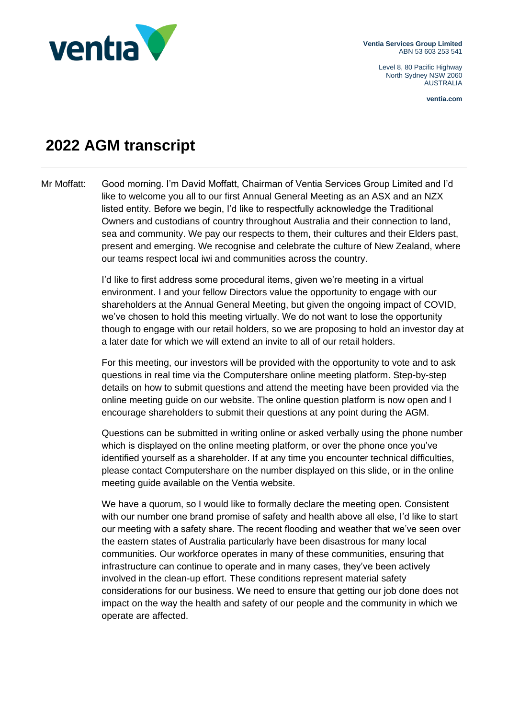

**Ventia Services Group Limited** ABN 53 603 253 541

> Level 8, 80 Pacific Highway North Sydney NSW 2060 AUSTRALIA

> > **ventia.com**

## **2022 AGM transcript**

Mr Moffatt: Good morning. I'm David Moffatt, Chairman of Ventia Services Group Limited and I'd like to welcome you all to our first Annual General Meeting as an ASX and an NZX listed entity. Before we begin, I'd like to respectfully acknowledge the Traditional Owners and custodians of country throughout Australia and their connection to land, sea and community. We pay our respects to them, their cultures and their Elders past, present and emerging. We recognise and celebrate the culture of New Zealand, where our teams respect local iwi and communities across the country.

> I'd like to first address some procedural items, given we're meeting in a virtual environment. I and your fellow Directors value the opportunity to engage with our shareholders at the Annual General Meeting, but given the ongoing impact of COVID, we've chosen to hold this meeting virtually. We do not want to lose the opportunity though to engage with our retail holders, so we are proposing to hold an investor day at a later date for which we will extend an invite to all of our retail holders.

For this meeting, our investors will be provided with the opportunity to vote and to ask questions in real time via the Computershare online meeting platform. Step-by-step details on how to submit questions and attend the meeting have been provided via the online meeting guide on our website. The online question platform is now open and I encourage shareholders to submit their questions at any point during the AGM.

Questions can be submitted in writing online or asked verbally using the phone number which is displayed on the online meeting platform, or over the phone once you've identified yourself as a shareholder. If at any time you encounter technical difficulties, please contact Computershare on the number displayed on this slide, or in the online meeting guide available on the Ventia website.

We have a quorum, so I would like to formally declare the meeting open. Consistent with our number one brand promise of safety and health above all else, I'd like to start our meeting with a safety share. The recent flooding and weather that we've seen over the eastern states of Australia particularly have been disastrous for many local communities. Our workforce operates in many of these communities, ensuring that infrastructure can continue to operate and in many cases, they've been actively involved in the clean-up effort. These conditions represent material safety considerations for our business. We need to ensure that getting our job done does not impact on the way the health and safety of our people and the community in which we operate are affected.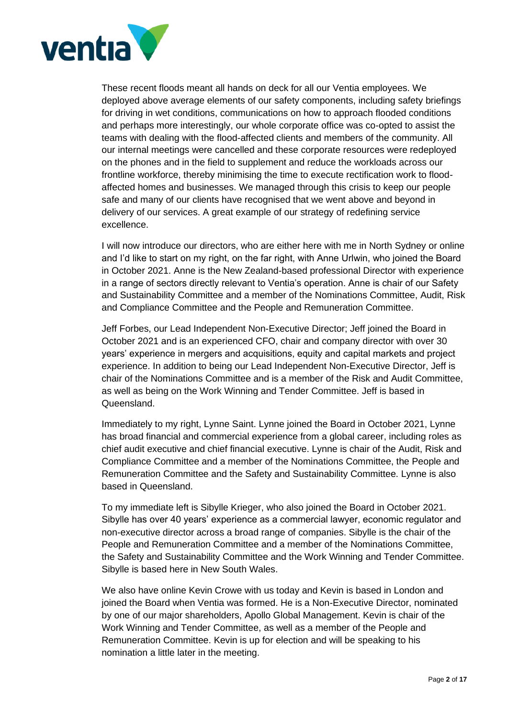

These recent floods meant all hands on deck for all our Ventia employees. We deployed above average elements of our safety components, including safety briefings for driving in wet conditions, communications on how to approach flooded conditions and perhaps more interestingly, our whole corporate office was co-opted to assist the teams with dealing with the flood-affected clients and members of the community. All our internal meetings were cancelled and these corporate resources were redeployed on the phones and in the field to supplement and reduce the workloads across our frontline workforce, thereby minimising the time to execute rectification work to floodaffected homes and businesses. We managed through this crisis to keep our people safe and many of our clients have recognised that we went above and beyond in delivery of our services. A great example of our strategy of redefining service excellence.

I will now introduce our directors, who are either here with me in North Sydney or online and I'd like to start on my right, on the far right, with Anne Urlwin, who joined the Board in October 2021. Anne is the New Zealand-based professional Director with experience in a range of sectors directly relevant to Ventia's operation. Anne is chair of our Safety and Sustainability Committee and a member of the Nominations Committee, Audit, Risk and Compliance Committee and the People and Remuneration Committee.

Jeff Forbes, our Lead Independent Non-Executive Director; Jeff joined the Board in October 2021 and is an experienced CFO, chair and company director with over 30 years' experience in mergers and acquisitions, equity and capital markets and project experience. In addition to being our Lead Independent Non-Executive Director, Jeff is chair of the Nominations Committee and is a member of the Risk and Audit Committee, as well as being on the Work Winning and Tender Committee. Jeff is based in Queensland.

Immediately to my right, Lynne Saint. Lynne joined the Board in October 2021, Lynne has broad financial and commercial experience from a global career, including roles as chief audit executive and chief financial executive. Lynne is chair of the Audit, Risk and Compliance Committee and a member of the Nominations Committee, the People and Remuneration Committee and the Safety and Sustainability Committee. Lynne is also based in Queensland.

To my immediate left is Sibylle Krieger, who also joined the Board in October 2021. Sibylle has over 40 years' experience as a commercial lawyer, economic regulator and non-executive director across a broad range of companies. Sibylle is the chair of the People and Remuneration Committee and a member of the Nominations Committee, the Safety and Sustainability Committee and the Work Winning and Tender Committee. Sibylle is based here in New South Wales.

We also have online Kevin Crowe with us today and Kevin is based in London and joined the Board when Ventia was formed. He is a Non-Executive Director, nominated by one of our major shareholders, Apollo Global Management. Kevin is chair of the Work Winning and Tender Committee, as well as a member of the People and Remuneration Committee. Kevin is up for election and will be speaking to his nomination a little later in the meeting.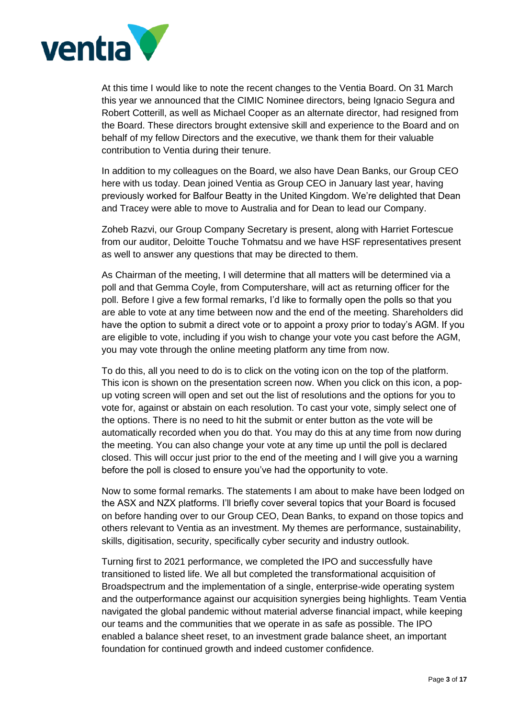

At this time I would like to note the recent changes to the Ventia Board. On 31 March this year we announced that the CIMIC Nominee directors, being Ignacio Segura and Robert Cotterill, as well as Michael Cooper as an alternate director, had resigned from the Board. These directors brought extensive skill and experience to the Board and on behalf of my fellow Directors and the executive, we thank them for their valuable contribution to Ventia during their tenure.

In addition to my colleagues on the Board, we also have Dean Banks, our Group CEO here with us today. Dean joined Ventia as Group CEO in January last year, having previously worked for Balfour Beatty in the United Kingdom. We're delighted that Dean and Tracey were able to move to Australia and for Dean to lead our Company.

Zoheb Razvi, our Group Company Secretary is present, along with Harriet Fortescue from our auditor, Deloitte Touche Tohmatsu and we have HSF representatives present as well to answer any questions that may be directed to them.

As Chairman of the meeting, I will determine that all matters will be determined via a poll and that Gemma Coyle, from Computershare, will act as returning officer for the poll. Before I give a few formal remarks, I'd like to formally open the polls so that you are able to vote at any time between now and the end of the meeting. Shareholders did have the option to submit a direct vote or to appoint a proxy prior to today's AGM. If you are eligible to vote, including if you wish to change your vote you cast before the AGM, you may vote through the online meeting platform any time from now.

To do this, all you need to do is to click on the voting icon on the top of the platform. This icon is shown on the presentation screen now. When you click on this icon, a popup voting screen will open and set out the list of resolutions and the options for you to vote for, against or abstain on each resolution. To cast your vote, simply select one of the options. There is no need to hit the submit or enter button as the vote will be automatically recorded when you do that. You may do this at any time from now during the meeting. You can also change your vote at any time up until the poll is declared closed. This will occur just prior to the end of the meeting and I will give you a warning before the poll is closed to ensure you've had the opportunity to vote.

Now to some formal remarks. The statements I am about to make have been lodged on the ASX and NZX platforms. I'll briefly cover several topics that your Board is focused on before handing over to our Group CEO, Dean Banks, to expand on those topics and others relevant to Ventia as an investment. My themes are performance, sustainability, skills, digitisation, security, specifically cyber security and industry outlook.

Turning first to 2021 performance, we completed the IPO and successfully have transitioned to listed life. We all but completed the transformational acquisition of Broadspectrum and the implementation of a single, enterprise-wide operating system and the outperformance against our acquisition synergies being highlights. Team Ventia navigated the global pandemic without material adverse financial impact, while keeping our teams and the communities that we operate in as safe as possible. The IPO enabled a balance sheet reset, to an investment grade balance sheet, an important foundation for continued growth and indeed customer confidence.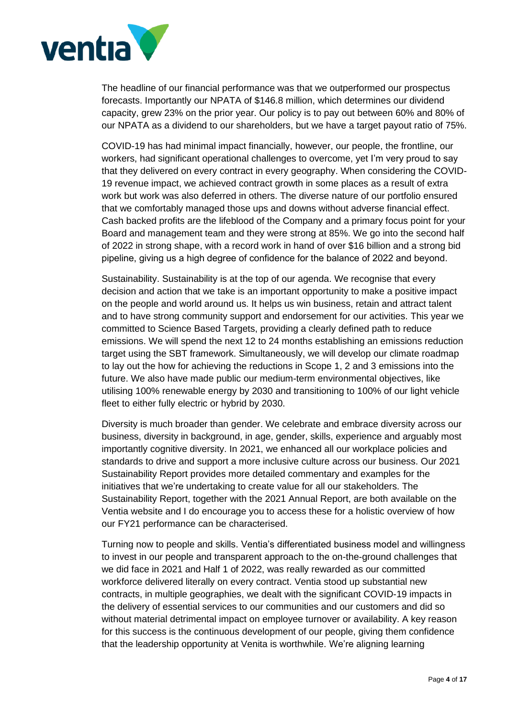

The headline of our financial performance was that we outperformed our prospectus forecasts. Importantly our NPATA of \$146.8 million, which determines our dividend capacity, grew 23% on the prior year. Our policy is to pay out between 60% and 80% of our NPATA as a dividend to our shareholders, but we have a target payout ratio of 75%.

COVID-19 has had minimal impact financially, however, our people, the frontline, our workers, had significant operational challenges to overcome, yet I'm very proud to say that they delivered on every contract in every geography. When considering the COVID-19 revenue impact, we achieved contract growth in some places as a result of extra work but work was also deferred in others. The diverse nature of our portfolio ensured that we comfortably managed those ups and downs without adverse financial effect. Cash backed profits are the lifeblood of the Company and a primary focus point for your Board and management team and they were strong at 85%. We go into the second half of 2022 in strong shape, with a record work in hand of over \$16 billion and a strong bid pipeline, giving us a high degree of confidence for the balance of 2022 and beyond. 

Sustainability. Sustainability is at the top of our agenda. We recognise that every decision and action that we take is an important opportunity to make a positive impact on the people and world around us. It helps us win business, retain and attract talent and to have strong community support and endorsement for our activities. This year we committed to Science Based Targets, providing a clearly defined path to reduce emissions. We will spend the next 12 to 24 months establishing an emissions reduction target using the SBT framework. Simultaneously, we will develop our climate roadmap to lay out the how for achieving the reductions in Scope 1, 2 and 3 emissions into the future. We also have made public our medium-term environmental objectives, like utilising 100% renewable energy by 2030 and transitioning to 100% of our light vehicle fleet to either fully electric or hybrid by 2030.

Diversity is much broader than gender. We celebrate and embrace diversity across our business, diversity in background, in age, gender, skills, experience and arguably most importantly cognitive diversity. In 2021, we enhanced all our workplace policies and standards to drive and support a more inclusive culture across our business. Our 2021 Sustainability Report provides more detailed commentary and examples for the initiatives that we're undertaking to create value for all our stakeholders. The Sustainability Report, together with the 2021 Annual Report, are both available on the Ventia website and I do encourage you to access these for a holistic overview of how our FY21 performance can be characterised.

Turning now to people and skills. Ventia's differentiated business model and willingness to invest in our people and transparent approach to the on-the-ground challenges that we did face in 2021 and Half 1 of 2022, was really rewarded as our committed workforce delivered literally on every contract. Ventia stood up substantial new contracts, in multiple geographies, we dealt with the significant COVID-19 impacts in the delivery of essential services to our communities and our customers and did so without material detrimental impact on employee turnover or availability. A key reason for this success is the continuous development of our people, giving them confidence that the leadership opportunity at Venita is worthwhile. We're aligning learning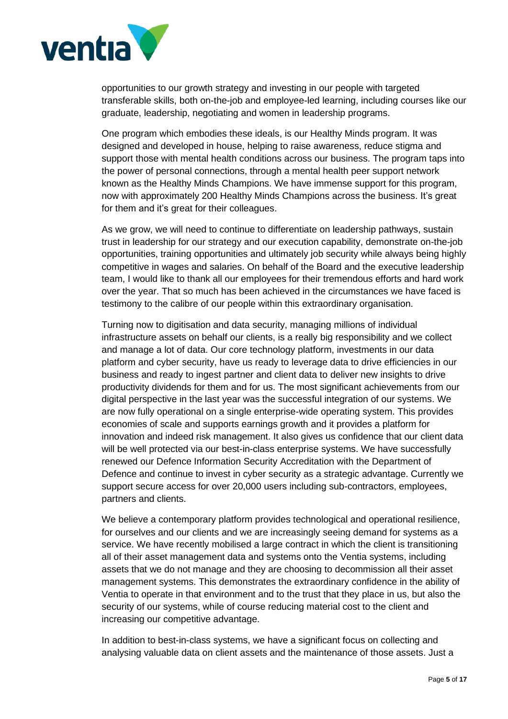

opportunities to our growth strategy and investing in our people with targeted transferable skills, both on-the-job and employee-led learning, including courses like our graduate, leadership, negotiating and women in leadership programs.

One program which embodies these ideals, is our Healthy Minds program. It was designed and developed in house, helping to raise awareness, reduce stigma and support those with mental health conditions across our business. The program taps into the power of personal connections, through a mental health peer support network known as the Healthy Minds Champions. We have immense support for this program, now with approximately 200 Healthy Minds Champions across the business. It's great for them and it's great for their colleagues.

As we grow, we will need to continue to differentiate on leadership pathways, sustain trust in leadership for our strategy and our execution capability, demonstrate on-the-job opportunities, training opportunities and ultimately job security while always being highly competitive in wages and salaries. On behalf of the Board and the executive leadership team, I would like to thank all our employees for their tremendous efforts and hard work over the year. That so much has been achieved in the circumstances we have faced is testimony to the calibre of our people within this extraordinary organisation.

Turning now to digitisation and data security, managing millions of individual infrastructure assets on behalf our clients, is a really big responsibility and we collect and manage a lot of data. Our core technology platform, investments in our data platform and cyber security, have us ready to leverage data to drive efficiencies in our business and ready to ingest partner and client data to deliver new insights to drive productivity dividends for them and for us. The most significant achievements from our digital perspective in the last year was the successful integration of our systems. We are now fully operational on a single enterprise-wide operating system. This provides economies of scale and supports earnings growth and it provides a platform for innovation and indeed risk management. It also gives us confidence that our client data will be well protected via our best-in-class enterprise systems. We have successfully renewed our Defence Information Security Accreditation with the Department of Defence and continue to invest in cyber security as a strategic advantage. Currently we support secure access for over 20,000 users including sub-contractors, employees, partners and clients.

We believe a contemporary platform provides technological and operational resilience, for ourselves and our clients and we are increasingly seeing demand for systems as a service. We have recently mobilised a large contract in which the client is transitioning all of their asset management data and systems onto the Ventia systems, including assets that we do not manage and they are choosing to decommission all their asset management systems. This demonstrates the extraordinary confidence in the ability of Ventia to operate in that environment and to the trust that they place in us, but also the security of our systems, while of course reducing material cost to the client and increasing our competitive advantage.

In addition to best-in-class systems, we have a significant focus on collecting and analysing valuable data on client assets and the maintenance of those assets. Just a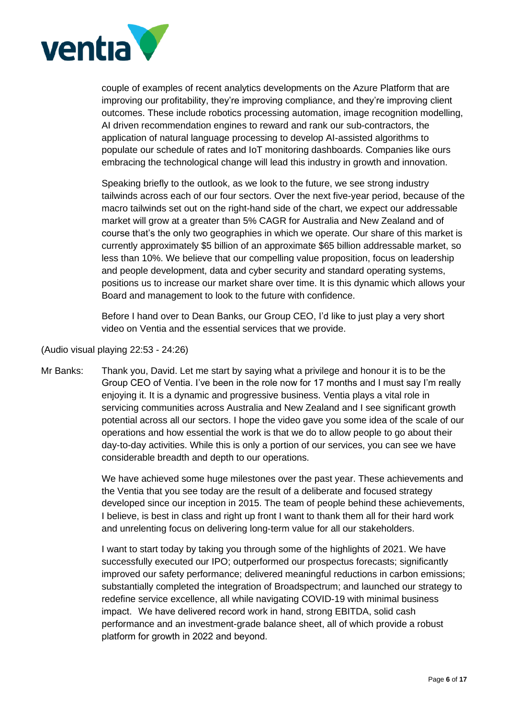

couple of examples of recent analytics developments on the Azure Platform that are improving our profitability, they're improving compliance, and they're improving client outcomes. These include robotics processing automation, image recognition modelling, AI driven recommendation engines to reward and rank our sub-contractors, the application of natural language processing to develop AI-assisted algorithms to populate our schedule of rates and IoT monitoring dashboards. Companies like ours embracing the technological change will lead this industry in growth and innovation.

Speaking briefly to the outlook, as we look to the future, we see strong industry tailwinds across each of our four sectors. Over the next five-year period, because of the macro tailwinds set out on the right-hand side of the chart, we expect our addressable market will grow at a greater than 5% CAGR for Australia and New Zealand and of course that's the only two geographies in which we operate. Our share of this market is currently approximately \$5 billion of an approximate \$65 billion addressable market, so less than 10%. We believe that our compelling value proposition, focus on leadership and people development, data and cyber security and standard operating systems, positions us to increase our market share over time. It is this dynamic which allows your Board and management to look to the future with confidence.

Before I hand over to Dean Banks, our Group CEO, I'd like to just play a very short video on Ventia and the essential services that we provide.

(Audio visual playing 22:53 - 24:26)

Mr Banks: Thank you, David. Let me start by saying what a privilege and honour it is to be the Group CEO of Ventia. I've been in the role now for 17 months and I must say I'm really enjoying it. It is a dynamic and progressive business. Ventia plays a vital role in servicing communities across Australia and New Zealand and I see significant growth potential across all our sectors. I hope the video gave you some idea of the scale of our operations and how essential the work is that we do to allow people to go about their day-to-day activities. While this is only a portion of our services, you can see we have considerable breadth and depth to our operations.

> We have achieved some huge milestones over the past year. These achievements and the Ventia that you see today are the result of a deliberate and focused strategy developed since our inception in 2015. The team of people behind these achievements, I believe, is best in class and right up front I want to thank them all for their hard work and unrelenting focus on delivering long-term value for all our stakeholders.

> I want to start today by taking you through some of the highlights of 2021. We have successfully executed our IPO; outperformed our prospectus forecasts; significantly improved our safety performance; delivered meaningful reductions in carbon emissions; substantially completed the integration of Broadspectrum; and launched our strategy to redefine service excellence, all while navigating COVID-19 with minimal business impact.   We have delivered record work in hand, strong EBITDA, solid cash performance and an investment-grade balance sheet, all of which provide a robust platform for growth in 2022 and beyond.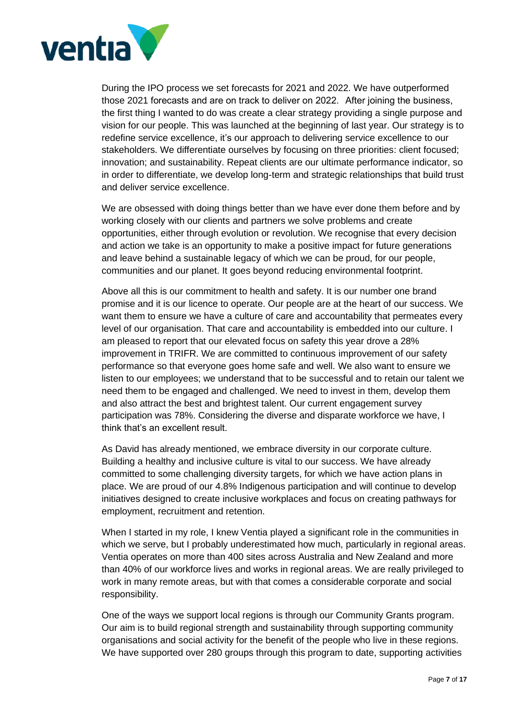

During the IPO process we set forecasts for 2021 and 2022. We have outperformed those 2021 forecasts and are on track to deliver on 2022.   After joining the business, the first thing I wanted to do was create a clear strategy providing a single purpose and vision for our people. This was launched at the beginning of last year. Our strategy is to redefine service excellence, it's our approach to delivering service excellence to our stakeholders. We differentiate ourselves by focusing on three priorities: client focused; innovation; and sustainability. Repeat clients are our ultimate performance indicator, so in order to differentiate, we develop long-term and strategic relationships that build trust and deliver service excellence.

We are obsessed with doing things better than we have ever done them before and by working closely with our clients and partners we solve problems and create opportunities, either through evolution or revolution. We recognise that every decision and action we take is an opportunity to make a positive impact for future generations and leave behind a sustainable legacy of which we can be proud, for our people, communities and our planet. It goes beyond reducing environmental footprint.

Above all this is our commitment to health and safety. It is our number one brand promise and it is our licence to operate. Our people are at the heart of our success. We want them to ensure we have a culture of care and accountability that permeates every level of our organisation. That care and accountability is embedded into our culture. I am pleased to report that our elevated focus on safety this year drove a 28% improvement in TRIFR. We are committed to continuous improvement of our safety performance so that everyone goes home safe and well. We also want to ensure we listen to our employees; we understand that to be successful and to retain our talent we need them to be engaged and challenged. We need to invest in them, develop them and also attract the best and brightest talent. Our current engagement survey participation was 78%. Considering the diverse and disparate workforce we have, I think that's an excellent result.

As David has already mentioned, we embrace diversity in our corporate culture. Building a healthy and inclusive culture is vital to our success. We have already committed to some challenging diversity targets, for which we have action plans in place. We are proud of our 4.8% Indigenous participation and will continue to develop initiatives designed to create inclusive workplaces and focus on creating pathways for employment, recruitment and retention.

When I started in my role, I knew Ventia played a significant role in the communities in which we serve, but I probably underestimated how much, particularly in regional areas. Ventia operates on more than 400 sites across Australia and New Zealand and more than 40% of our workforce lives and works in regional areas. We are really privileged to work in many remote areas, but with that comes a considerable corporate and social responsibility.

One of the ways we support local regions is through our Community Grants program. Our aim is to build regional strength and sustainability through supporting community organisations and social activity for the benefit of the people who live in these regions. We have supported over 280 groups through this program to date, supporting activities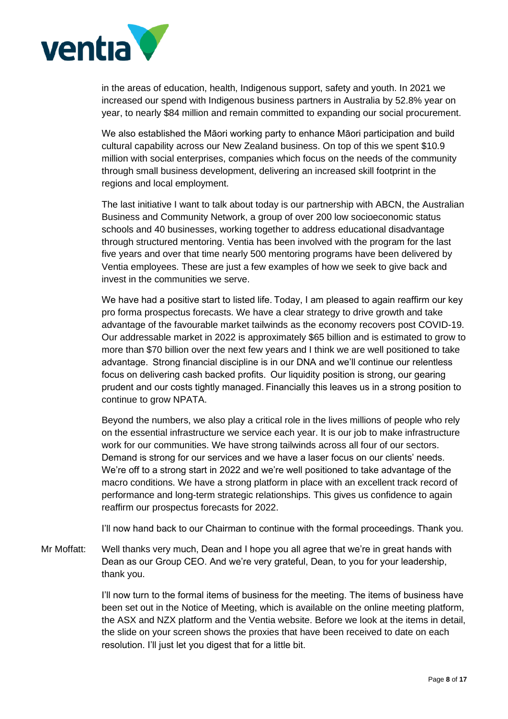

in the areas of education, health, Indigenous support, safety and youth. In 2021 we increased our spend with Indigenous business partners in Australia by 52.8% year on year, to nearly \$84 million and remain committed to expanding our social procurement.

We also established the Māori working party to enhance Māori participation and build cultural capability across our New Zealand business. On top of this we spent \$10.9 million with social enterprises, companies which focus on the needs of the community through small business development, delivering an increased skill footprint in the regions and local employment.

The last initiative I want to talk about today is our partnership with ABCN, the Australian Business and Community Network, a group of over 200 low socioeconomic status schools and 40 businesses, working together to address educational disadvantage through structured mentoring. Ventia has been involved with the program for the last five years and over that time nearly 500 mentoring programs have been delivered by Ventia employees. These are just a few examples of how we seek to give back and invest in the communities we serve.

We have had a positive start to listed life. Today, I am pleased to again reaffirm our key pro forma prospectus forecasts. We have a clear strategy to drive growth and take advantage of the favourable market tailwinds as the economy recovers post COVID-19. Our addressable market in 2022 is approximately \$65 billion and is estimated to grow to more than \$70 billion over the next few years and I think we are well positioned to take advantage.  Strong financial discipline is in our DNA and we'll continue our relentless focus on delivering cash backed profits.  Our liquidity position is strong, our gearing prudent and our costs tightly managed. Financially this leaves us in a strong position to continue to grow NPATA.

Beyond the numbers, we also play a critical role in the lives millions of people who rely on the essential infrastructure we service each year. It is our job to make infrastructure work for our communities. We have strong tailwinds across all four of our sectors. Demand is strong for our services and we have a laser focus on our clients' needs. We're off to a strong start in 2022 and we're well positioned to take advantage of the macro conditions. We have a strong platform in place with an excellent track record of performance and long-term strategic relationships. This gives us confidence to again reaffirm our prospectus forecasts for 2022.

I'll now hand back to our Chairman to continue with the formal proceedings. Thank you.

Mr Moffatt: Well thanks very much, Dean and I hope you all agree that we're in great hands with Dean as our Group CEO. And we're very grateful, Dean, to you for your leadership, thank you.

> I'll now turn to the formal items of business for the meeting. The items of business have been set out in the Notice of Meeting, which is available on the online meeting platform, the ASX and NZX platform and the Ventia website. Before we look at the items in detail, the slide on your screen shows the proxies that have been received to date on each resolution. I'll just let you digest that for a little bit.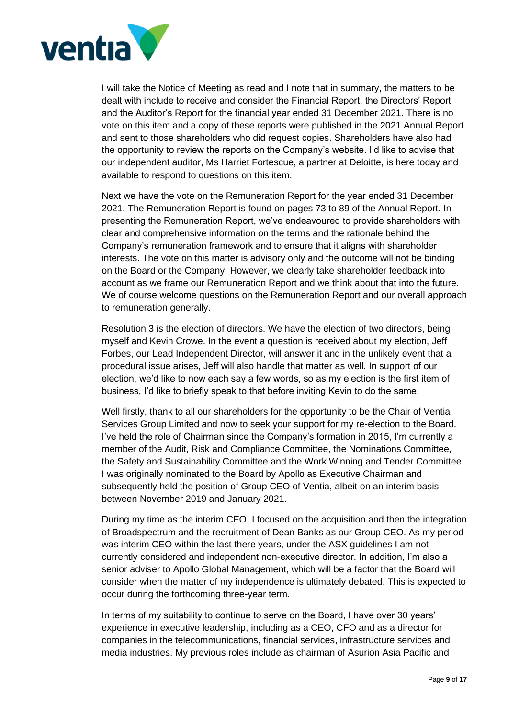

I will take the Notice of Meeting as read and I note that in summary, the matters to be dealt with include to receive and consider the Financial Report, the Directors' Report and the Auditor's Report for the financial year ended 31 December 2021. There is no vote on this item and a copy of these reports were published in the 2021 Annual Report and sent to those shareholders who did request copies. Shareholders have also had the opportunity to review the reports on the Company's website. I'd like to advise that our independent auditor, Ms Harriet Fortescue, a partner at Deloitte, is here today and available to respond to questions on this item.

Next we have the vote on the Remuneration Report for the year ended 31 December 2021. The Remuneration Report is found on pages 73 to 89 of the Annual Report. In presenting the Remuneration Report, we've endeavoured to provide shareholders with clear and comprehensive information on the terms and the rationale behind the Company's remuneration framework and to ensure that it aligns with shareholder interests. The vote on this matter is advisory only and the outcome will not be binding on the Board or the Company. However, we clearly take shareholder feedback into account as we frame our Remuneration Report and we think about that into the future. We of course welcome questions on the Remuneration Report and our overall approach to remuneration generally.

Resolution 3 is the election of directors. We have the election of two directors, being myself and Kevin Crowe. In the event a question is received about my election, Jeff Forbes, our Lead Independent Director, will answer it and in the unlikely event that a procedural issue arises, Jeff will also handle that matter as well. In support of our election, we'd like to now each say a few words, so as my election is the first item of business, I'd like to briefly speak to that before inviting Kevin to do the same.

Well firstly, thank to all our shareholders for the opportunity to be the Chair of Ventia Services Group Limited and now to seek your support for my re-election to the Board. I've held the role of Chairman since the Company's formation in 2015, I'm currently a member of the Audit, Risk and Compliance Committee, the Nominations Committee, the Safety and Sustainability Committee and the Work Winning and Tender Committee. I was originally nominated to the Board by Apollo as Executive Chairman and subsequently held the position of Group CEO of Ventia, albeit on an interim basis between November 2019 and January 2021.

During my time as the interim CEO, I focused on the acquisition and then the integration of Broadspectrum and the recruitment of Dean Banks as our Group CEO. As my period was interim CEO within the last there years, under the ASX guidelines I am not currently considered and independent non-executive director. In addition, I'm also a senior adviser to Apollo Global Management, which will be a factor that the Board will consider when the matter of my independence is ultimately debated. This is expected to occur during the forthcoming three-year term.

In terms of my suitability to continue to serve on the Board, I have over 30 years' experience in executive leadership, including as a CEO, CFO and as a director for companies in the telecommunications, financial services, infrastructure services and media industries. My previous roles include as chairman of Asurion Asia Pacific and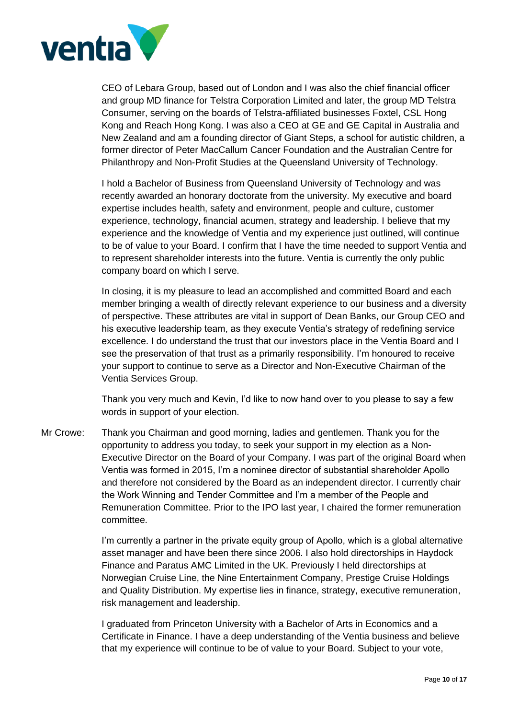

CEO of Lebara Group, based out of London and I was also the chief financial officer and group MD finance for Telstra Corporation Limited and later, the group MD Telstra Consumer, serving on the boards of Telstra-affiliated businesses Foxtel, CSL Hong Kong and Reach Hong Kong. I was also a CEO at GE and GE Capital in Australia and New Zealand and am a founding director of Giant Steps, a school for autistic children, a former director of Peter MacCallum Cancer Foundation and the Australian Centre for Philanthropy and Non-Profit Studies at the Queensland University of Technology.

I hold a Bachelor of Business from Queensland University of Technology and was recently awarded an honorary doctorate from the university. My executive and board expertise includes health, safety and environment, people and culture, customer experience, technology, financial acumen, strategy and leadership. I believe that my experience and the knowledge of Ventia and my experience just outlined, will continue to be of value to your Board. I confirm that I have the time needed to support Ventia and to represent shareholder interests into the future. Ventia is currently the only public company board on which I serve.

In closing, it is my pleasure to lead an accomplished and committed Board and each member bringing a wealth of directly relevant experience to our business and a diversity of perspective. These attributes are vital in support of Dean Banks, our Group CEO and his executive leadership team, as they execute Ventia's strategy of redefining service excellence. I do understand the trust that our investors place in the Ventia Board and I see the preservation of that trust as a primarily responsibility. I'm honoured to receive your support to continue to serve as a Director and Non-Executive Chairman of the Ventia Services Group.

Thank you very much and Kevin, I'd like to now hand over to you please to say a few words in support of your election.

Mr Crowe: Thank you Chairman and good morning, ladies and gentlemen. Thank you for the opportunity to address you today, to seek your support in my election as a Non-Executive Director on the Board of your Company. I was part of the original Board when Ventia was formed in 2015, I'm a nominee director of substantial shareholder Apollo and therefore not considered by the Board as an independent director. I currently chair the Work Winning and Tender Committee and I'm a member of the People and Remuneration Committee. Prior to the IPO last year, I chaired the former remuneration committee.

> I'm currently a partner in the private equity group of Apollo, which is a global alternative asset manager and have been there since 2006. I also hold directorships in Haydock Finance and Paratus AMC Limited in the UK. Previously I held directorships at Norwegian Cruise Line, the Nine Entertainment Company, Prestige Cruise Holdings and Quality Distribution. My expertise lies in finance, strategy, executive remuneration, risk management and leadership.

> I graduated from Princeton University with a Bachelor of Arts in Economics and a Certificate in Finance. I have a deep understanding of the Ventia business and believe that my experience will continue to be of value to your Board. Subject to your vote,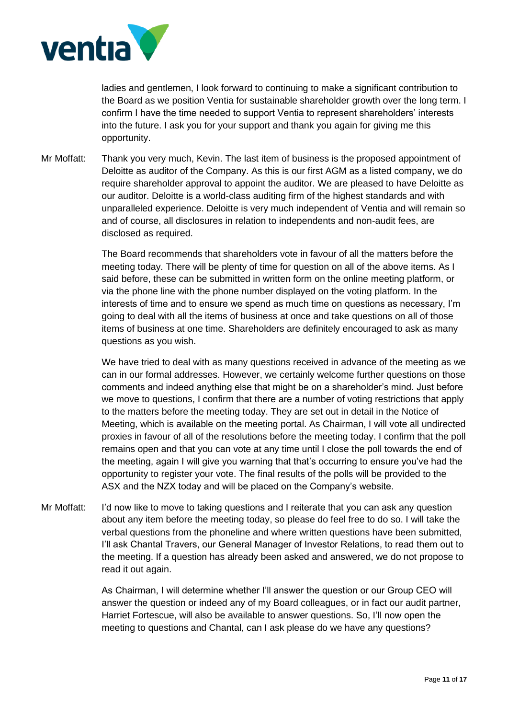

ladies and gentlemen, I look forward to continuing to make a significant contribution to the Board as we position Ventia for sustainable shareholder growth over the long term. I confirm I have the time needed to support Ventia to represent shareholders' interests into the future. I ask you for your support and thank you again for giving me this opportunity.

Mr Moffatt: Thank you very much, Kevin. The last item of business is the proposed appointment of Deloitte as auditor of the Company. As this is our first AGM as a listed company, we do require shareholder approval to appoint the auditor. We are pleased to have Deloitte as our auditor. Deloitte is a world-class auditing firm of the highest standards and with unparalleled experience. Deloitte is very much independent of Ventia and will remain so and of course, all disclosures in relation to independents and non-audit fees, are disclosed as required.

> The Board recommends that shareholders vote in favour of all the matters before the meeting today. There will be plenty of time for question on all of the above items. As I said before, these can be submitted in written form on the online meeting platform, or via the phone line with the phone number displayed on the voting platform. In the interests of time and to ensure we spend as much time on questions as necessary, I'm going to deal with all the items of business at once and take questions on all of those items of business at one time. Shareholders are definitely encouraged to ask as many questions as you wish.

We have tried to deal with as many questions received in advance of the meeting as we can in our formal addresses. However, we certainly welcome further questions on those comments and indeed anything else that might be on a shareholder's mind. Just before we move to questions, I confirm that there are a number of voting restrictions that apply to the matters before the meeting today. They are set out in detail in the Notice of Meeting, which is available on the meeting portal. As Chairman, I will vote all undirected proxies in favour of all of the resolutions before the meeting today. I confirm that the poll remains open and that you can vote at any time until I close the poll towards the end of the meeting, again I will give you warning that that's occurring to ensure you've had the opportunity to register your vote. The final results of the polls will be provided to the ASX and the NZX today and will be placed on the Company's website.

Mr Moffatt: I'd now like to move to taking questions and I reiterate that you can ask any question about any item before the meeting today, so please do feel free to do so. I will take the verbal questions from the phoneline and where written questions have been submitted, I'll ask Chantal Travers, our General Manager of Investor Relations, to read them out to the meeting. If a question has already been asked and answered, we do not propose to read it out again.

> As Chairman, I will determine whether I'll answer the question or our Group CEO will answer the question or indeed any of my Board colleagues, or in fact our audit partner, Harriet Fortescue, will also be available to answer questions. So, I'll now open the meeting to questions and Chantal, can I ask please do we have any questions?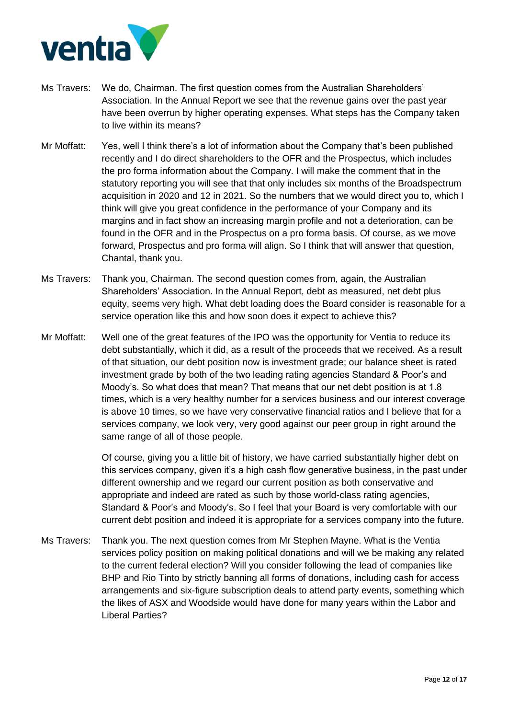

- Ms Travers: We do, Chairman. The first question comes from the Australian Shareholders' Association. In the Annual Report we see that the revenue gains over the past year have been overrun by higher operating expenses. What steps has the Company taken to live within its means?
- Mr Moffatt: Yes, well I think there's a lot of information about the Company that's been published recently and I do direct shareholders to the OFR and the Prospectus, which includes the pro forma information about the Company. I will make the comment that in the statutory reporting you will see that that only includes six months of the Broadspectrum acquisition in 2020 and 12 in 2021. So the numbers that we would direct you to, which I think will give you great confidence in the performance of your Company and its margins and in fact show an increasing margin profile and not a deterioration, can be found in the OFR and in the Prospectus on a pro forma basis. Of course, as we move forward, Prospectus and pro forma will align. So I think that will answer that question, Chantal, thank you.
- Ms Travers: Thank you, Chairman. The second question comes from, again, the Australian Shareholders' Association. In the Annual Report, debt as measured, net debt plus equity, seems very high. What debt loading does the Board consider is reasonable for a service operation like this and how soon does it expect to achieve this?
- Mr Moffatt: Well one of the great features of the IPO was the opportunity for Ventia to reduce its debt substantially, which it did, as a result of the proceeds that we received. As a result of that situation, our debt position now is investment grade; our balance sheet is rated investment grade by both of the two leading rating agencies Standard & Poor's and Moody's. So what does that mean? That means that our net debt position is at 1.8 times, which is a very healthy number for a services business and our interest coverage is above 10 times, so we have very conservative financial ratios and I believe that for a services company, we look very, very good against our peer group in right around the same range of all of those people.

Of course, giving you a little bit of history, we have carried substantially higher debt on this services company, given it's a high cash flow generative business, in the past under different ownership and we regard our current position as both conservative and appropriate and indeed are rated as such by those world-class rating agencies, Standard & Poor's and Moody's. So I feel that your Board is very comfortable with our current debt position and indeed it is appropriate for a services company into the future.

Ms Travers: Thank you. The next question comes from Mr Stephen Mayne. What is the Ventia services policy position on making political donations and will we be making any related to the current federal election? Will you consider following the lead of companies like BHP and Rio Tinto by strictly banning all forms of donations, including cash for access arrangements and six-figure subscription deals to attend party events, something which the likes of ASX and Woodside would have done for many years within the Labor and Liberal Parties?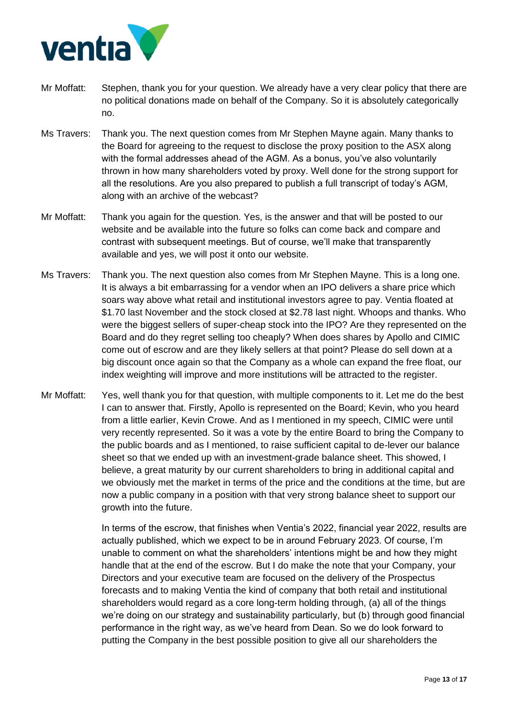

- Mr Moffatt: Stephen, thank you for your question. We already have a very clear policy that there are no political donations made on behalf of the Company. So it is absolutely categorically no.
- Ms Travers: Thank you. The next question comes from Mr Stephen Mayne again. Many thanks to the Board for agreeing to the request to disclose the proxy position to the ASX along with the formal addresses ahead of the AGM. As a bonus, you've also voluntarily thrown in how many shareholders voted by proxy. Well done for the strong support for all the resolutions. Are you also prepared to publish a full transcript of today's AGM, along with an archive of the webcast?
- Mr Moffatt: Thank you again for the question. Yes, is the answer and that will be posted to our website and be available into the future so folks can come back and compare and contrast with subsequent meetings. But of course, we'll make that transparently available and yes, we will post it onto our website.
- Ms Travers: Thank you. The next question also comes from Mr Stephen Mayne. This is a long one. It is always a bit embarrassing for a vendor when an IPO delivers a share price which soars way above what retail and institutional investors agree to pay. Ventia floated at \$1.70 last November and the stock closed at \$2.78 last night. Whoops and thanks. Who were the biggest sellers of super-cheap stock into the IPO? Are they represented on the Board and do they regret selling too cheaply? When does shares by Apollo and CIMIC come out of escrow and are they likely sellers at that point? Please do sell down at a big discount once again so that the Company as a whole can expand the free float, our index weighting will improve and more institutions will be attracted to the register.
- Mr Moffatt: Yes, well thank you for that question, with multiple components to it. Let me do the best I can to answer that. Firstly, Apollo is represented on the Board; Kevin, who you heard from a little earlier, Kevin Crowe. And as I mentioned in my speech, CIMIC were until very recently represented. So it was a vote by the entire Board to bring the Company to the public boards and as I mentioned, to raise sufficient capital to de-lever our balance sheet so that we ended up with an investment-grade balance sheet. This showed, I believe, a great maturity by our current shareholders to bring in additional capital and we obviously met the market in terms of the price and the conditions at the time, but are now a public company in a position with that very strong balance sheet to support our growth into the future.

In terms of the escrow, that finishes when Ventia's 2022, financial year 2022, results are actually published, which we expect to be in around February 2023. Of course, I'm unable to comment on what the shareholders' intentions might be and how they might handle that at the end of the escrow. But I do make the note that your Company, your Directors and your executive team are focused on the delivery of the Prospectus forecasts and to making Ventia the kind of company that both retail and institutional shareholders would regard as a core long-term holding through, (a) all of the things we're doing on our strategy and sustainability particularly, but (b) through good financial performance in the right way, as we've heard from Dean. So we do look forward to putting the Company in the best possible position to give all our shareholders the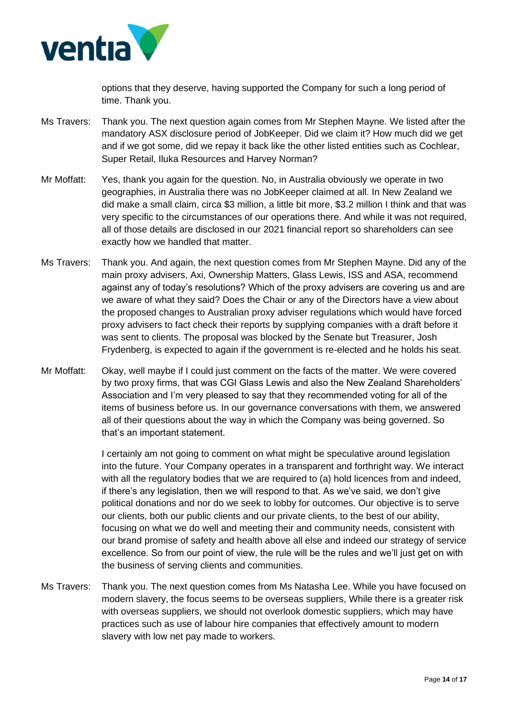

options that they deserve, having supported the Company for such a long period of time. Thank you.

- Ms Travers: Thank you. The next question again comes from Mr Stephen Mayne. We listed after the mandatory ASX disclosure period of JobKeeper. Did we claim it? How much did we get and if we got some, did we repay it back like the other listed entities such as Cochlear, Super Retail, Iluka Resources and Harvey Norman?
- Mr Moffatt: Yes, thank you again for the question. No, in Australia obviously we operate in two geographies, in Australia there was no JobKeeper claimed at all. In New Zealand we did make a small claim, circa \$3 million, a little bit more, \$3.2 million I think and that was very specific to the circumstances of our operations there. And while it was not required, all of those details are disclosed in our 2021 financial report so shareholders can see exactly how we handled that matter.
- Ms Travers: Thank you. And again, the next question comes from Mr Stephen Mayne. Did any of the main proxy advisers, Axi, Ownership Matters, Glass Lewis, ISS and ASA, recommend against any of today's resolutions? Which of the proxy advisers are covering us and are we aware of what they said? Does the Chair or any of the Directors have a view about the proposed changes to Australian proxy adviser regulations which would have forced proxy advisers to fact check their reports by supplying companies with a draft before it was sent to clients. The proposal was blocked by the Senate but Treasurer, Josh Frydenberg, is expected to again if the government is re-elected and he holds his seat.
- Mr Moffatt: Okay, well maybe if I could just comment on the facts of the matter. We were covered by two proxy firms, that was CGI Glass Lewis and also the New Zealand Shareholders' Association and I'm very pleased to say that they recommended voting for all of the items of business before us. In our governance conversations with them, we answered all of their questions about the way in which the Company was being governed. So that's an important statement.

I certainly am not going to comment on what might be speculative around legislation into the future. Your Company operates in a transparent and forthright way. We interact with all the regulatory bodies that we are required to (a) hold licences from and indeed, if there's any legislation, then we will respond to that. As we've said, we don't give political donations and nor do we seek to lobby for outcomes. Our objective is to serve our clients, both our public clients and our private clients, to the best of our ability, focusing on what we do well and meeting their and community needs, consistent with our brand promise of safety and health above all else and indeed our strategy of service excellence. So from our point of view, the rule will be the rules and we'll just get on with the business of serving clients and communities.

Ms Travers: Thank you. The next question comes from Ms Natasha Lee. While you have focused on modern slavery, the focus seems to be overseas suppliers, While there is a greater risk with overseas suppliers, we should not overlook domestic suppliers, which may have practices such as use of labour hire companies that effectively amount to modern slavery with low net pay made to workers.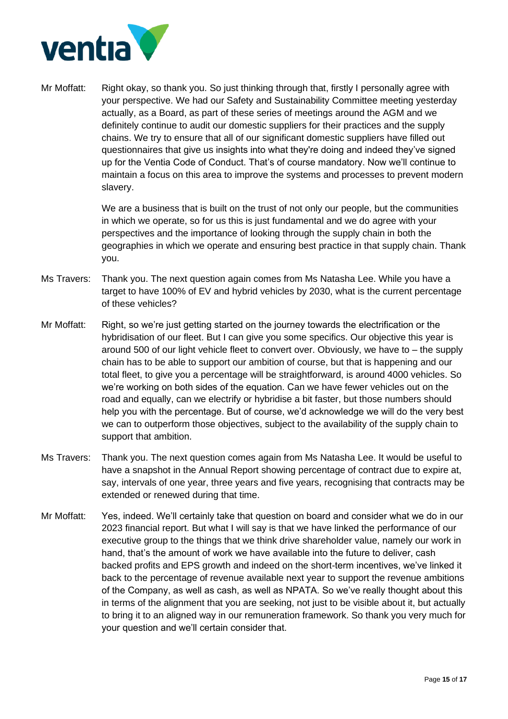

Mr Moffatt: Right okay, so thank you. So just thinking through that, firstly I personally agree with your perspective. We had our Safety and Sustainability Committee meeting yesterday actually, as a Board, as part of these series of meetings around the AGM and we definitely continue to audit our domestic suppliers for their practices and the supply chains. We try to ensure that all of our significant domestic suppliers have filled out questionnaires that give us insights into what they're doing and indeed they've signed up for the Ventia Code of Conduct. That's of course mandatory. Now we'll continue to maintain a focus on this area to improve the systems and processes to prevent modern slavery.

> We are a business that is built on the trust of not only our people, but the communities in which we operate, so for us this is just fundamental and we do agree with your perspectives and the importance of looking through the supply chain in both the geographies in which we operate and ensuring best practice in that supply chain. Thank you.

- Ms Travers: Thank you. The next question again comes from Ms Natasha Lee. While you have a target to have 100% of EV and hybrid vehicles by 2030, what is the current percentage of these vehicles?
- Mr Moffatt: Right, so we're just getting started on the journey towards the electrification or the hybridisation of our fleet. But I can give you some specifics. Our objective this year is around 500 of our light vehicle fleet to convert over. Obviously, we have to – the supply chain has to be able to support our ambition of course, but that is happening and our total fleet, to give you a percentage will be straightforward, is around 4000 vehicles. So we're working on both sides of the equation. Can we have fewer vehicles out on the road and equally, can we electrify or hybridise a bit faster, but those numbers should help you with the percentage. But of course, we'd acknowledge we will do the very best we can to outperform those objectives, subject to the availability of the supply chain to support that ambition.
- Ms Travers: Thank you. The next question comes again from Ms Natasha Lee. It would be useful to have a snapshot in the Annual Report showing percentage of contract due to expire at, say, intervals of one year, three years and five years, recognising that contracts may be extended or renewed during that time.
- Mr Moffatt: Yes, indeed. We'll certainly take that question on board and consider what we do in our 2023 financial report. But what I will say is that we have linked the performance of our executive group to the things that we think drive shareholder value, namely our work in hand, that's the amount of work we have available into the future to deliver, cash backed profits and EPS growth and indeed on the short-term incentives, we've linked it back to the percentage of revenue available next year to support the revenue ambitions of the Company, as well as cash, as well as NPATA. So we've really thought about this in terms of the alignment that you are seeking, not just to be visible about it, but actually to bring it to an aligned way in our remuneration framework. So thank you very much for your question and we'll certain consider that.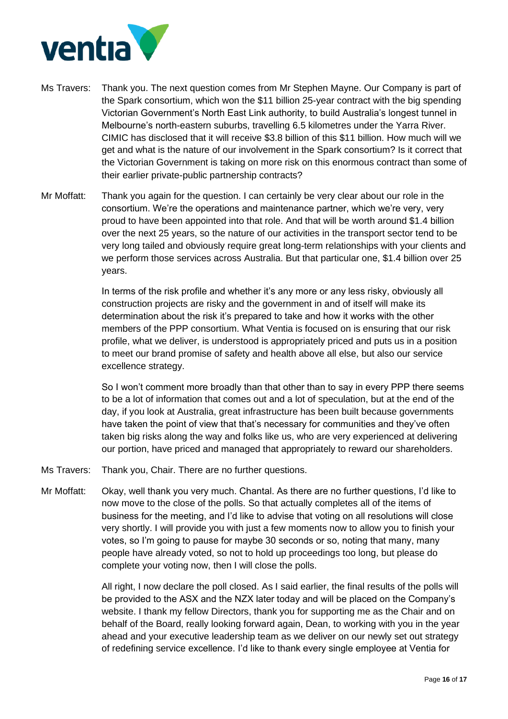

- Ms Travers: Thank you. The next question comes from Mr Stephen Mayne. Our Company is part of the Spark consortium, which won the \$11 billion 25-year contract with the big spending Victorian Government's North East Link authority, to build Australia's longest tunnel in Melbourne's north-eastern suburbs, travelling 6.5 kilometres under the Yarra River. CIMIC has disclosed that it will receive \$3.8 billion of this \$11 billion. How much will we get and what is the nature of our involvement in the Spark consortium? Is it correct that the Victorian Government is taking on more risk on this enormous contract than some of their earlier private-public partnership contracts?
- Mr Moffatt: Thank you again for the question. I can certainly be very clear about our role in the consortium. We're the operations and maintenance partner, which we're very, very proud to have been appointed into that role. And that will be worth around \$1.4 billion over the next 25 years, so the nature of our activities in the transport sector tend to be very long tailed and obviously require great long-term relationships with your clients and we perform those services across Australia. But that particular one, \$1.4 billion over 25 years.

In terms of the risk profile and whether it's any more or any less risky, obviously all construction projects are risky and the government in and of itself will make its determination about the risk it's prepared to take and how it works with the other members of the PPP consortium. What Ventia is focused on is ensuring that our risk profile, what we deliver, is understood is appropriately priced and puts us in a position to meet our brand promise of safety and health above all else, but also our service excellence strategy.

So I won't comment more broadly than that other than to say in every PPP there seems to be a lot of information that comes out and a lot of speculation, but at the end of the day, if you look at Australia, great infrastructure has been built because governments have taken the point of view that that's necessary for communities and they've often taken big risks along the way and folks like us, who are very experienced at delivering our portion, have priced and managed that appropriately to reward our shareholders.

- Ms Travers: Thank you, Chair. There are no further questions.
- Mr Moffatt: Okay, well thank you very much. Chantal. As there are no further questions, I'd like to now move to the close of the polls. So that actually completes all of the items of business for the meeting, and I'd like to advise that voting on all resolutions will close very shortly. I will provide you with just a few moments now to allow you to finish your votes, so I'm going to pause for maybe 30 seconds or so, noting that many, many people have already voted, so not to hold up proceedings too long, but please do complete your voting now, then I will close the polls.

All right, I now declare the poll closed. As I said earlier, the final results of the polls will be provided to the ASX and the NZX later today and will be placed on the Company's website. I thank my fellow Directors, thank you for supporting me as the Chair and on behalf of the Board, really looking forward again, Dean, to working with you in the year ahead and your executive leadership team as we deliver on our newly set out strategy of redefining service excellence. I'd like to thank every single employee at Ventia for